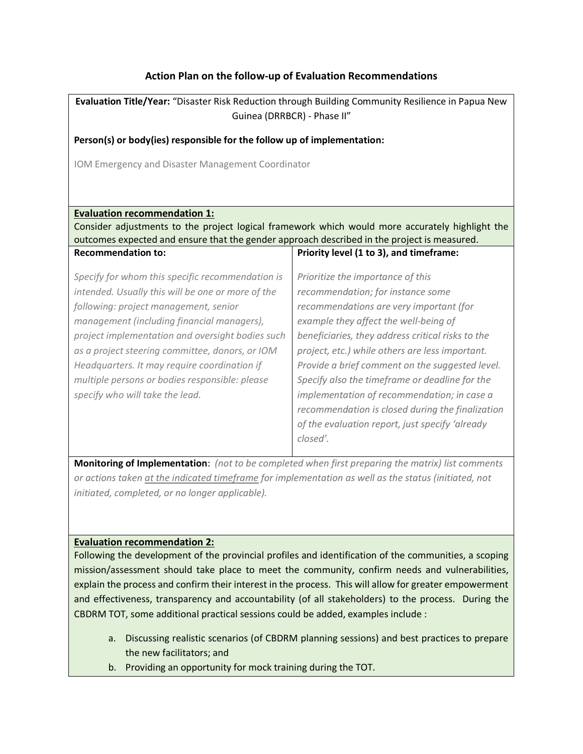# **Action Plan on the follow-up of Evaluation Recommendations**

| Evaluation Title/Year: "Disaster Risk Reduction through Building Community Resilience in Papua New<br>Guinea (DRRBCR) - Phase II"                                                                                                                                                                                                                                                                                                        |                                                                                                                                                                                                                                                                                                                                                                                                                                                                                                                                           |  |
|------------------------------------------------------------------------------------------------------------------------------------------------------------------------------------------------------------------------------------------------------------------------------------------------------------------------------------------------------------------------------------------------------------------------------------------|-------------------------------------------------------------------------------------------------------------------------------------------------------------------------------------------------------------------------------------------------------------------------------------------------------------------------------------------------------------------------------------------------------------------------------------------------------------------------------------------------------------------------------------------|--|
| Person(s) or body(ies) responsible for the follow up of implementation:                                                                                                                                                                                                                                                                                                                                                                  |                                                                                                                                                                                                                                                                                                                                                                                                                                                                                                                                           |  |
| IOM Emergency and Disaster Management Coordinator                                                                                                                                                                                                                                                                                                                                                                                        |                                                                                                                                                                                                                                                                                                                                                                                                                                                                                                                                           |  |
|                                                                                                                                                                                                                                                                                                                                                                                                                                          |                                                                                                                                                                                                                                                                                                                                                                                                                                                                                                                                           |  |
| <b>Evaluation recommendation 1:</b>                                                                                                                                                                                                                                                                                                                                                                                                      |                                                                                                                                                                                                                                                                                                                                                                                                                                                                                                                                           |  |
| Consider adjustments to the project logical framework which would more accurately highlight the<br>outcomes expected and ensure that the gender approach described in the project is measured.                                                                                                                                                                                                                                           |                                                                                                                                                                                                                                                                                                                                                                                                                                                                                                                                           |  |
| <b>Recommendation to:</b>                                                                                                                                                                                                                                                                                                                                                                                                                | Priority level (1 to 3), and timeframe:                                                                                                                                                                                                                                                                                                                                                                                                                                                                                                   |  |
| Specify for whom this specific recommendation is<br>intended. Usually this will be one or more of the<br>following: project management, senior<br>management (including financial managers),<br>project implementation and oversight bodies such<br>as a project steering committee, donors, or IOM<br>Headquarters. It may require coordination if<br>multiple persons or bodies responsible: please<br>specify who will take the lead. | Prioritize the importance of this<br>recommendation; for instance some<br>recommendations are very important (for<br>example they affect the well-being of<br>beneficiaries, they address critical risks to the<br>project, etc.) while others are less important.<br>Provide a brief comment on the suggested level.<br>Specify also the timeframe or deadline for the<br>implementation of recommendation; in case a<br>recommendation is closed during the finalization<br>of the evaluation report, just specify 'already<br>closed'. |  |

**Monitoring of Implementation**: *(not to be completed when first preparing the matrix) list comments or actions taken at the indicated timeframe for implementation as well as the status (initiated, not initiated, completed, or no longer applicable).* 

## **Evaluation recommendation 2:**

Following the development of the provincial profiles and identification of the communities, a scoping mission/assessment should take place to meet the community, confirm needs and vulnerabilities, explain the process and confirm their interest in the process. This will allow for greater empowerment and effectiveness, transparency and accountability (of all stakeholders) to the process. During the CBDRM TOT, some additional practical sessions could be added, examples include :

- a. Discussing realistic scenarios (of CBDRM planning sessions) and best practices to prepare the new facilitators; and
- b. Providing an opportunity for mock training during the TOT.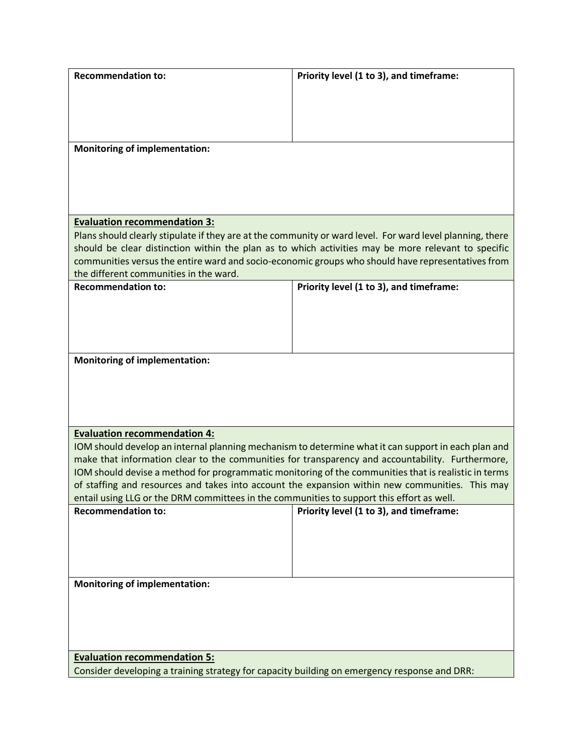| <b>Recommendation to:</b>                                                                    | Priority level (1 to 3), and timeframe:                                                                   |
|----------------------------------------------------------------------------------------------|-----------------------------------------------------------------------------------------------------------|
|                                                                                              |                                                                                                           |
|                                                                                              |                                                                                                           |
|                                                                                              |                                                                                                           |
|                                                                                              |                                                                                                           |
| <b>Monitoring of implementation:</b>                                                         |                                                                                                           |
|                                                                                              |                                                                                                           |
|                                                                                              |                                                                                                           |
|                                                                                              |                                                                                                           |
|                                                                                              |                                                                                                           |
|                                                                                              |                                                                                                           |
| <b>Evaluation recommendation 3:</b>                                                          |                                                                                                           |
|                                                                                              | Plans should clearly stipulate if they are at the community or ward level. For ward level planning, there |
|                                                                                              | should be clear distinction within the plan as to which activities may be more relevant to specific       |
|                                                                                              | communities versus the entire ward and socio-economic groups who should have representatives from         |
| the different communities in the ward.                                                       |                                                                                                           |
| <b>Recommendation to:</b>                                                                    | Priority level (1 to 3), and timeframe:                                                                   |
|                                                                                              |                                                                                                           |
|                                                                                              |                                                                                                           |
|                                                                                              |                                                                                                           |
|                                                                                              |                                                                                                           |
| <b>Monitoring of implementation:</b>                                                         |                                                                                                           |
|                                                                                              |                                                                                                           |
|                                                                                              |                                                                                                           |
|                                                                                              |                                                                                                           |
|                                                                                              |                                                                                                           |
|                                                                                              |                                                                                                           |
| <b>Evaluation recommendation 4:</b>                                                          |                                                                                                           |
|                                                                                              | IOM should develop an internal planning mechanism to determine what it can support in each plan and       |
|                                                                                              | make that information clear to the communities for transparency and accountability. Furthermore,          |
|                                                                                              | IOM should devise a method for programmatic monitoring of the communities that is realistic in terms      |
|                                                                                              | of staffing and resources and takes into account the expansion within new communities. This may           |
| entail using LLG or the DRM committees in the communities to support this effort as well.    |                                                                                                           |
| <b>Recommendation to:</b>                                                                    | Priority level (1 to 3), and timeframe:                                                                   |
|                                                                                              |                                                                                                           |
|                                                                                              |                                                                                                           |
|                                                                                              |                                                                                                           |
|                                                                                              |                                                                                                           |
|                                                                                              |                                                                                                           |
| <b>Monitoring of implementation:</b>                                                         |                                                                                                           |
|                                                                                              |                                                                                                           |
|                                                                                              |                                                                                                           |
|                                                                                              |                                                                                                           |
|                                                                                              |                                                                                                           |
|                                                                                              |                                                                                                           |
| <b>Evaluation recommendation 5:</b>                                                          |                                                                                                           |
| Consider developing a training strategy for capacity building on emergency response and DRR: |                                                                                                           |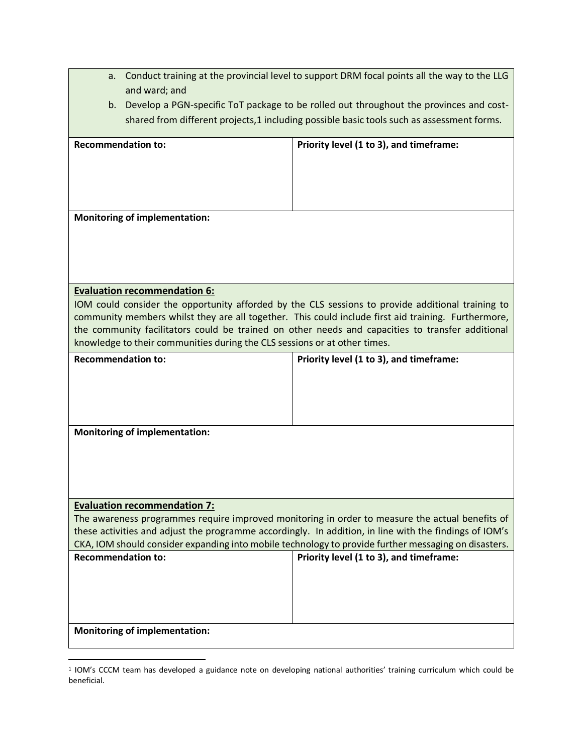|                                                                           | a. Conduct training at the provincial level to support DRM focal points all the way to the LLG |                                                                                                                                                 |  |
|---------------------------------------------------------------------------|------------------------------------------------------------------------------------------------|-------------------------------------------------------------------------------------------------------------------------------------------------|--|
|                                                                           | and ward; and                                                                                  |                                                                                                                                                 |  |
| b.                                                                        |                                                                                                | Develop a PGN-specific ToT package to be rolled out throughout the provinces and cost-                                                          |  |
|                                                                           | shared from different projects, 1 including possible basic tools such as assessment forms.     |                                                                                                                                                 |  |
| <b>Recommendation to:</b>                                                 |                                                                                                | Priority level (1 to 3), and timeframe:                                                                                                         |  |
|                                                                           |                                                                                                |                                                                                                                                                 |  |
|                                                                           |                                                                                                |                                                                                                                                                 |  |
|                                                                           |                                                                                                |                                                                                                                                                 |  |
|                                                                           |                                                                                                |                                                                                                                                                 |  |
|                                                                           | <b>Monitoring of implementation:</b>                                                           |                                                                                                                                                 |  |
|                                                                           |                                                                                                |                                                                                                                                                 |  |
|                                                                           |                                                                                                |                                                                                                                                                 |  |
|                                                                           |                                                                                                |                                                                                                                                                 |  |
|                                                                           | <b>Evaluation recommendation 6:</b>                                                            |                                                                                                                                                 |  |
|                                                                           |                                                                                                | IOM could consider the opportunity afforded by the CLS sessions to provide additional training to                                               |  |
|                                                                           |                                                                                                | community members whilst they are all together. This could include first aid training. Furthermore,                                             |  |
|                                                                           |                                                                                                | the community facilitators could be trained on other needs and capacities to transfer additional                                                |  |
| knowledge to their communities during the CLS sessions or at other times. |                                                                                                |                                                                                                                                                 |  |
|                                                                           |                                                                                                |                                                                                                                                                 |  |
| <b>Recommendation to:</b>                                                 |                                                                                                | Priority level (1 to 3), and timeframe:                                                                                                         |  |
|                                                                           |                                                                                                |                                                                                                                                                 |  |
|                                                                           |                                                                                                |                                                                                                                                                 |  |
|                                                                           |                                                                                                |                                                                                                                                                 |  |
|                                                                           |                                                                                                |                                                                                                                                                 |  |
|                                                                           | <b>Monitoring of implementation:</b>                                                           |                                                                                                                                                 |  |
|                                                                           |                                                                                                |                                                                                                                                                 |  |
|                                                                           |                                                                                                |                                                                                                                                                 |  |
|                                                                           |                                                                                                |                                                                                                                                                 |  |
|                                                                           | <b>Evaluation recommendation 7:</b>                                                            |                                                                                                                                                 |  |
|                                                                           |                                                                                                | The awareness programmes require improved monitoring in order to measure the actual benefits of                                                 |  |
|                                                                           |                                                                                                | these activities and adjust the programme accordingly. In addition, in line with the findings of IOM's                                          |  |
| <b>Recommendation to:</b>                                                 |                                                                                                | CKA, IOM should consider expanding into mobile technology to provide further messaging on disasters.<br>Priority level (1 to 3), and timeframe: |  |
|                                                                           |                                                                                                |                                                                                                                                                 |  |
|                                                                           |                                                                                                |                                                                                                                                                 |  |
|                                                                           |                                                                                                |                                                                                                                                                 |  |
|                                                                           |                                                                                                |                                                                                                                                                 |  |

 $\overline{a}$ 

<sup>1</sup> IOM's CCCM team has developed a guidance note on developing national authorities' training curriculum which could be beneficial.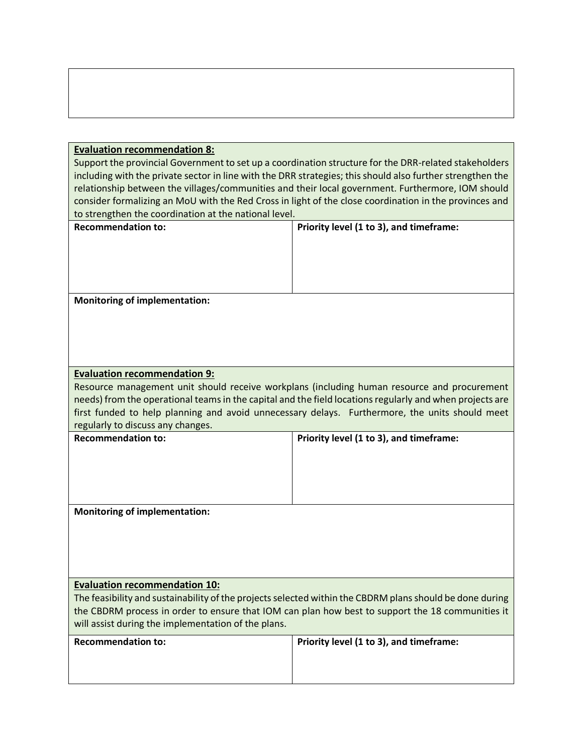#### **Evaluation recommendation 8:**

Support the provincial Government to set up a coordination structure for the DRR-related stakeholders including with the private sector in line with the DRR strategies; this should also further strengthen the relationship between the villages/communities and their local government. Furthermore, IOM should consider formalizing an MoU with the Red Cross in light of the close coordination in the provinces and to strengthen the coordination at the national level.

**Recommendation to: Priority level (1 to 3), and timeframe:** 

**Monitoring of implementation:**

# **Evaluation recommendation 9:**

Resource management unit should receive workplans (including human resource and procurement needs) from the operational teams in the capital and the field locations regularly and when projects are first funded to help planning and avoid unnecessary delays. Furthermore, the units should meet regularly to discuss any changes.

| <b>Recommendation to:</b> | Priority level (1 to 3), and timeframe: |
|---------------------------|-----------------------------------------|
|                           |                                         |
|                           |                                         |
|                           |                                         |
|                           |                                         |

**Monitoring of implementation:**

## **Evaluation recommendation 10:**

The feasibility and sustainability of the projects selected within the CBDRM plans should be done during the CBDRM process in order to ensure that IOM can plan how best to support the 18 communities it will assist during the implementation of the plans.

| <b>Recommendation to:</b> | Priority level (1 to 3), and timeframe: |
|---------------------------|-----------------------------------------|
|                           |                                         |
|                           |                                         |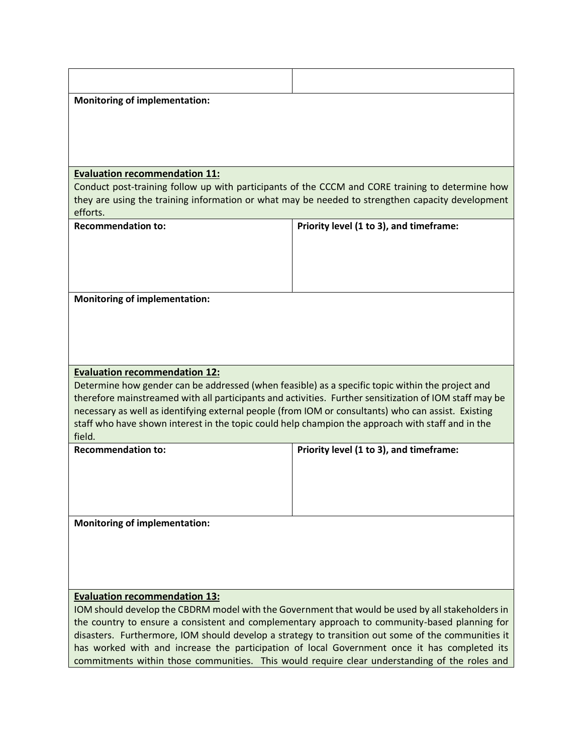| <b>Monitoring of implementation:</b>                                                                                                                                                              |                                                                                                                                                                                                      |  |
|---------------------------------------------------------------------------------------------------------------------------------------------------------------------------------------------------|------------------------------------------------------------------------------------------------------------------------------------------------------------------------------------------------------|--|
|                                                                                                                                                                                                   |                                                                                                                                                                                                      |  |
|                                                                                                                                                                                                   |                                                                                                                                                                                                      |  |
|                                                                                                                                                                                                   |                                                                                                                                                                                                      |  |
| <b>Evaluation recommendation 11:</b>                                                                                                                                                              |                                                                                                                                                                                                      |  |
|                                                                                                                                                                                                   | Conduct post-training follow up with participants of the CCCM and CORE training to determine how<br>they are using the training information or what may be needed to strengthen capacity development |  |
| efforts.                                                                                                                                                                                          |                                                                                                                                                                                                      |  |
| <b>Recommendation to:</b>                                                                                                                                                                         | Priority level (1 to 3), and timeframe:                                                                                                                                                              |  |
|                                                                                                                                                                                                   |                                                                                                                                                                                                      |  |
|                                                                                                                                                                                                   |                                                                                                                                                                                                      |  |
|                                                                                                                                                                                                   |                                                                                                                                                                                                      |  |
| <b>Monitoring of implementation:</b>                                                                                                                                                              |                                                                                                                                                                                                      |  |
|                                                                                                                                                                                                   |                                                                                                                                                                                                      |  |
|                                                                                                                                                                                                   |                                                                                                                                                                                                      |  |
|                                                                                                                                                                                                   |                                                                                                                                                                                                      |  |
| <b>Evaluation recommendation 12:</b><br>Determine how gender can be addressed (when feasible) as a specific topic within the project and                                                          |                                                                                                                                                                                                      |  |
| therefore mainstreamed with all participants and activities. Further sensitization of IOM staff may be                                                                                            |                                                                                                                                                                                                      |  |
| necessary as well as identifying external people (from IOM or consultants) who can assist. Existing                                                                                               |                                                                                                                                                                                                      |  |
| staff who have shown interest in the topic could help champion the approach with staff and in the<br>field.                                                                                       |                                                                                                                                                                                                      |  |
| <b>Recommendation to:</b>                                                                                                                                                                         | Priority level (1 to 3), and timeframe:                                                                                                                                                              |  |
|                                                                                                                                                                                                   |                                                                                                                                                                                                      |  |
|                                                                                                                                                                                                   |                                                                                                                                                                                                      |  |
|                                                                                                                                                                                                   |                                                                                                                                                                                                      |  |
| <b>Monitoring of implementation:</b>                                                                                                                                                              |                                                                                                                                                                                                      |  |
|                                                                                                                                                                                                   |                                                                                                                                                                                                      |  |
|                                                                                                                                                                                                   |                                                                                                                                                                                                      |  |
|                                                                                                                                                                                                   |                                                                                                                                                                                                      |  |
| <b>Evaluation recommendation 13:</b>                                                                                                                                                              |                                                                                                                                                                                                      |  |
| IOM should develop the CBDRM model with the Government that would be used by all stakeholders in<br>the country to ensure a consistent and complementary approach to community-based planning for |                                                                                                                                                                                                      |  |
| disasters. Furthermore, IOM should develop a strategy to transition out some of the communities it                                                                                                |                                                                                                                                                                                                      |  |
| has worked with and increase the participation of local Government once it has completed its<br>commitments within those communities. This would require clear understanding of the roles and     |                                                                                                                                                                                                      |  |
|                                                                                                                                                                                                   |                                                                                                                                                                                                      |  |